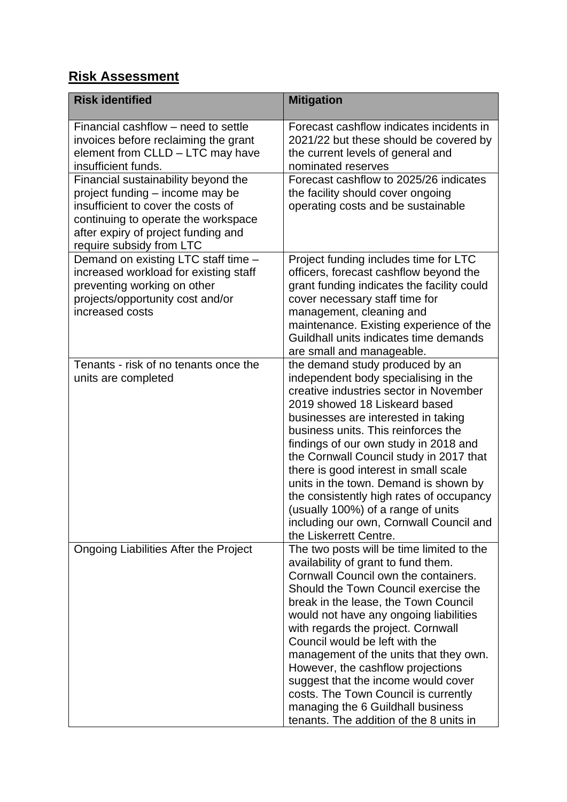## **Risk Assessment**

| <b>Risk identified</b>                                                                                                                                                                                                 | <b>Mitigation</b>                                                                                                                                                                                                                                                                                                                                                                                                                                                                                                                                                        |
|------------------------------------------------------------------------------------------------------------------------------------------------------------------------------------------------------------------------|--------------------------------------------------------------------------------------------------------------------------------------------------------------------------------------------------------------------------------------------------------------------------------------------------------------------------------------------------------------------------------------------------------------------------------------------------------------------------------------------------------------------------------------------------------------------------|
| Financial cashflow – need to settle<br>invoices before reclaiming the grant<br>element from CLLD - LTC may have<br>insufficient funds.                                                                                 | Forecast cashflow indicates incidents in<br>2021/22 but these should be covered by<br>the current levels of general and<br>nominated reserves                                                                                                                                                                                                                                                                                                                                                                                                                            |
| Financial sustainability beyond the<br>project funding - income may be<br>insufficient to cover the costs of<br>continuing to operate the workspace<br>after expiry of project funding and<br>require subsidy from LTC | Forecast cashflow to 2025/26 indicates<br>the facility should cover ongoing<br>operating costs and be sustainable                                                                                                                                                                                                                                                                                                                                                                                                                                                        |
| Demand on existing LTC staff time -<br>increased workload for existing staff<br>preventing working on other<br>projects/opportunity cost and/or<br>increased costs                                                     | Project funding includes time for LTC<br>officers, forecast cashflow beyond the<br>grant funding indicates the facility could<br>cover necessary staff time for<br>management, cleaning and<br>maintenance. Existing experience of the<br>Guildhall units indicates time demands<br>are small and manageable.                                                                                                                                                                                                                                                            |
| Tenants - risk of no tenants once the<br>units are completed                                                                                                                                                           | the demand study produced by an<br>independent body specialising in the<br>creative industries sector in November<br>2019 showed 18 Liskeard based<br>businesses are interested in taking<br>business units. This reinforces the<br>findings of our own study in 2018 and<br>the Cornwall Council study in 2017 that<br>there is good interest in small scale<br>units in the town. Demand is shown by<br>the consistently high rates of occupancy<br>(usually 100%) of a range of units<br>including our own, Cornwall Council and<br>the Liskerrett Centre.            |
| Ongoing Liabilities After the Project                                                                                                                                                                                  | The two posts will be time limited to the<br>availability of grant to fund them.<br>Cornwall Council own the containers.<br>Should the Town Council exercise the<br>break in the lease, the Town Council<br>would not have any ongoing liabilities<br>with regards the project. Cornwall<br>Council would be left with the<br>management of the units that they own.<br>However, the cashflow projections<br>suggest that the income would cover<br>costs. The Town Council is currently<br>managing the 6 Guildhall business<br>tenants. The addition of the 8 units in |